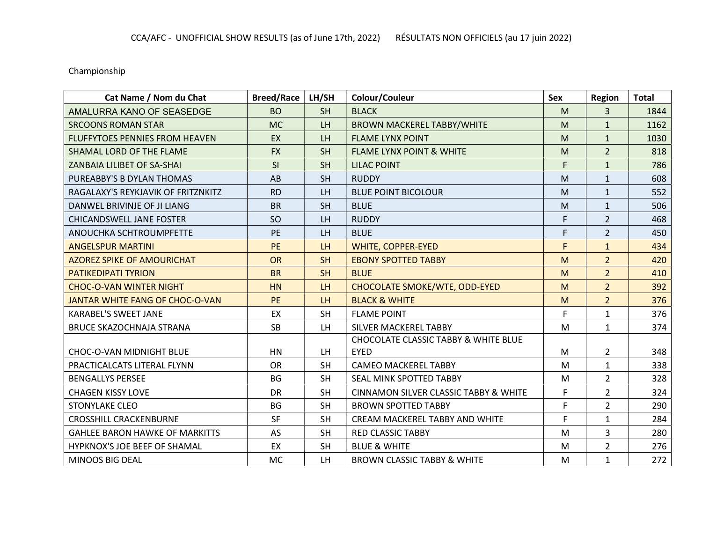Championship

| Cat Name / Nom du Chat                | <b>Breed/Race</b> | LH/SH     | Colour/Couleur                                  | Sex | Region         | <b>Total</b> |
|---------------------------------------|-------------------|-----------|-------------------------------------------------|-----|----------------|--------------|
| AMALURRA KANO OF SEASEDGE             | <b>BO</b>         | <b>SH</b> | <b>BLACK</b>                                    | M   | 3              | 1844         |
| <b>SRCOONS ROMAN STAR</b>             | <b>MC</b>         | <b>LH</b> | <b>BROWN MACKEREL TABBY/WHITE</b>               | M   | $\mathbf{1}$   | 1162         |
| FLUFFYTOES PENNIES FROM HEAVEN        | EX                | LH        | <b>FLAME LYNX POINT</b>                         | M   | $\mathbf{1}$   | 1030         |
| SHAMAL LORD OF THE FLAME              | <b>FX</b>         | <b>SH</b> | <b>FLAME LYNX POINT &amp; WHITE</b>             | M   | $\overline{2}$ | 818          |
| ZANBAIA LILIBET OF SA-SHAI            | SI                | <b>SH</b> | <b>LILAC POINT</b>                              | F   | $\mathbf{1}$   | 786          |
| PUREABBY'S B DYLAN THOMAS             | AB                | <b>SH</b> | <b>RUDDY</b>                                    | M   | $\mathbf{1}$   | 608          |
| RAGALAXY'S REYKJAVIK OF FRITZNKITZ    | <b>RD</b>         | LH        | <b>BLUE POINT BICOLOUR</b>                      | M   | $\mathbf{1}$   | 552          |
| DANWEL BRIVINJE OF JI LIANG           | <b>BR</b>         | <b>SH</b> | <b>BLUE</b>                                     | M   | $\mathbf{1}$   | 506          |
| <b>CHICANDSWELL JANE FOSTER</b>       | SO                | LH        | <b>RUDDY</b>                                    | F   | $\overline{2}$ | 468          |
| ANOUCHKA SCHTROUMPFETTE               | <b>PE</b>         | LH        | <b>BLUE</b>                                     | F   | $\overline{2}$ | 450          |
| <b>ANGELSPUR MARTINI</b>              | <b>PE</b>         | LH        | <b>WHITE, COPPER-EYED</b>                       | F   | $\mathbf{1}$   | 434          |
| <b>AZOREZ SPIKE OF AMOURICHAT</b>     | <b>OR</b>         | <b>SH</b> | <b>EBONY SPOTTED TABBY</b>                      | M   | $\overline{2}$ | 420          |
| <b>PATIKEDIPATI TYRION</b>            | <b>BR</b>         | <b>SH</b> | <b>BLUE</b>                                     | M   | $\overline{2}$ | 410          |
| <b>CHOC-O-VAN WINTER NIGHT</b>        | <b>HN</b>         | LH        | CHOCOLATE SMOKE/WTE, ODD-EYED                   | M   | $\overline{2}$ | 392          |
| JANTAR WHITE FANG OF CHOC-O-VAN       | <b>PE</b>         | LH.       | <b>BLACK &amp; WHITE</b>                        | M   | $\overline{2}$ | 376          |
| <b>KARABEL'S SWEET JANE</b>           | EX                | <b>SH</b> | <b>FLAME POINT</b>                              | F   | $\mathbf{1}$   | 376          |
| BRUCE SKAZOCHNAJA STRANA              | <b>SB</b>         | LH        | SILVER MACKEREL TABBY                           | M   | $\mathbf{1}$   | 374          |
|                                       |                   |           | <b>CHOCOLATE CLASSIC TABBY &amp; WHITE BLUE</b> |     |                |              |
| <b>CHOC-O-VAN MIDNIGHT BLUE</b>       | <b>HN</b>         | LH.       | <b>EYED</b>                                     | M   | $\overline{2}$ | 348          |
| PRACTICALCATS LITERAL FLYNN           | <b>OR</b>         | <b>SH</b> | <b>CAMEO MACKEREL TABBY</b>                     | M   | $\mathbf{1}$   | 338          |
| <b>BENGALLYS PERSEE</b>               | <b>BG</b>         | <b>SH</b> | SEAL MINK SPOTTED TABBY                         | M   | $\overline{2}$ | 328          |
| <b>CHAGEN KISSY LOVE</b>              | <b>DR</b>         | <b>SH</b> | CINNAMON SILVER CLASSIC TABBY & WHITE           | F   | $\overline{2}$ | 324          |
| <b>STONYLAKE CLEO</b>                 | <b>BG</b>         | <b>SH</b> | <b>BROWN SPOTTED TABBY</b>                      | F   | $\overline{2}$ | 290          |
| <b>CROSSHILL CRACKENBURNE</b>         | <b>SF</b>         | <b>SH</b> | CREAM MACKEREL TABBY AND WHITE                  | F   | $\mathbf{1}$   | 284          |
| <b>GAHLEE BARON HAWKE OF MARKITTS</b> | AS                | <b>SH</b> | <b>RED CLASSIC TABBY</b>                        | M   | $\overline{3}$ | 280          |
| HYPKNOX'S JOE BEEF OF SHAMAL          | EX                | <b>SH</b> | <b>BLUE &amp; WHITE</b>                         | M   | $\overline{2}$ | 276          |
| <b>MINOOS BIG DEAL</b>                | <b>MC</b>         | LH.       | <b>BROWN CLASSIC TABBY &amp; WHITE</b>          | M   | $\mathbf{1}$   | 272          |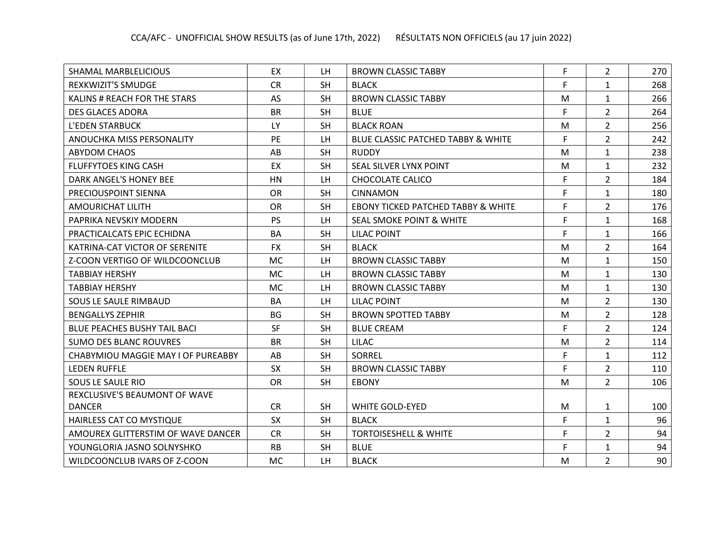| SHAMAL MARBLELICIOUS                | EX        | LH.       | <b>BROWN CLASSIC TABBY</b>                    | F | $\overline{2}$ | 270 |
|-------------------------------------|-----------|-----------|-----------------------------------------------|---|----------------|-----|
| <b>REXKWIZIT'S SMUDGE</b>           | <b>CR</b> | <b>SH</b> | <b>BLACK</b>                                  | F | $\mathbf{1}$   | 268 |
| KALINS # REACH FOR THE STARS        | <b>AS</b> | <b>SH</b> | <b>BROWN CLASSIC TABBY</b>                    | M | $\mathbf{1}$   | 266 |
| <b>DES GLACES ADORA</b>             | <b>BR</b> | <b>SH</b> | <b>BLUE</b>                                   | F | $\overline{2}$ | 264 |
| <b>L'EDEN STARBUCK</b>              | <b>LY</b> | <b>SH</b> | <b>BLACK ROAN</b>                             | M | $\overline{2}$ | 256 |
| ANOUCHKA MISS PERSONALITY           | PE        | LH.       | BLUE CLASSIC PATCHED TABBY & WHITE            | F | $\overline{2}$ | 242 |
| <b>ABYDOM CHAOS</b>                 | AB        | <b>SH</b> | <b>RUDDY</b>                                  | M | $\mathbf{1}$   | 238 |
| <b>FLUFFYTOES KING CASH</b>         | EX        | <b>SH</b> | SEAL SILVER LYNX POINT                        | M | $\mathbf{1}$   | 232 |
| DARK ANGEL'S HONEY BEE              | HN        | LH.       | CHOCOLATE CALICO                              | F | 2              | 184 |
| PRECIOUSPOINT SIENNA                | <b>OR</b> | <b>SH</b> | <b>CINNAMON</b>                               | F | $\mathbf{1}$   | 180 |
| AMOURICHAT LILITH                   | <b>OR</b> | <b>SH</b> | <b>EBONY TICKED PATCHED TABBY &amp; WHITE</b> | F | $\overline{2}$ | 176 |
| PAPRIKA NEVSKIY MODERN              | <b>PS</b> | LH        | SEAL SMOKE POINT & WHITE                      | F | $\mathbf{1}$   | 168 |
| PRACTICALCATS EPIC ECHIDNA          | BA        | <b>SH</b> | <b>LILAC POINT</b>                            | F | $\mathbf{1}$   | 166 |
| KATRINA-CAT VICTOR OF SERENITE      | <b>FX</b> | <b>SH</b> | <b>BLACK</b>                                  | M | $\overline{2}$ | 164 |
| Z-COON VERTIGO OF WILDCOONCLUB      | <b>MC</b> | LH        | <b>BROWN CLASSIC TABBY</b>                    | M | $\mathbf{1}$   | 150 |
| <b>TABBIAY HERSHY</b>               | <b>MC</b> | <b>LH</b> | <b>BROWN CLASSIC TABBY</b>                    | M | $\mathbf{1}$   | 130 |
| <b>TABBIAY HERSHY</b>               | <b>MC</b> | <b>LH</b> | <b>BROWN CLASSIC TABBY</b>                    | M | $\mathbf{1}$   | 130 |
| SOUS LE SAULE RIMBAUD               | <b>BA</b> | LH.       | <b>LILAC POINT</b>                            | M | $\overline{2}$ | 130 |
| <b>BENGALLYS ZEPHIR</b>             | <b>BG</b> | <b>SH</b> | <b>BROWN SPOTTED TABBY</b>                    | M | $\overline{2}$ | 128 |
| <b>BLUE PEACHES BUSHY TAIL BACL</b> | <b>SF</b> | <b>SH</b> | <b>BLUE CREAM</b>                             | F | $\overline{2}$ | 124 |
| <b>SUMO DES BLANC ROUVRES</b>       | <b>BR</b> | <b>SH</b> | <b>LILAC</b>                                  | M | $\overline{2}$ | 114 |
| CHABYMIOU MAGGIE MAY I OF PUREABBY  | AB        | <b>SH</b> | SORREL                                        | F | $\mathbf{1}$   | 112 |
| <b>LEDEN RUFFLE</b>                 | <b>SX</b> | <b>SH</b> | <b>BROWN CLASSIC TABBY</b>                    | F | $\overline{2}$ | 110 |
| SOUS LE SAULE RIO                   | <b>OR</b> | <b>SH</b> | <b>EBONY</b>                                  | M | $\overline{2}$ | 106 |
| REXCLUSIVE'S BEAUMONT OF WAVE       |           |           |                                               |   |                |     |
| <b>DANCER</b>                       | <b>CR</b> | <b>SH</b> | <b>WHITE GOLD-EYED</b>                        | M | $\mathbf{1}$   | 100 |
| HAIRLESS CAT CO MYSTIQUE            | SX        | <b>SH</b> | <b>BLACK</b>                                  | F | $\mathbf{1}$   | 96  |
| AMOUREX GLITTERSTIM OF WAVE DANCER  | <b>CR</b> | <b>SH</b> | <b>TORTOISESHELL &amp; WHITE</b>              | F | $\overline{2}$ | 94  |
| YOUNGLORIA JASNO SOLNYSHKO          | <b>RB</b> | <b>SH</b> | <b>BLUE</b>                                   | F | $\mathbf{1}$   | 94  |
| WILDCOONCLUB IVARS OF Z-COON        | <b>MC</b> | LH.       | <b>BLACK</b>                                  | M | $\overline{2}$ | 90  |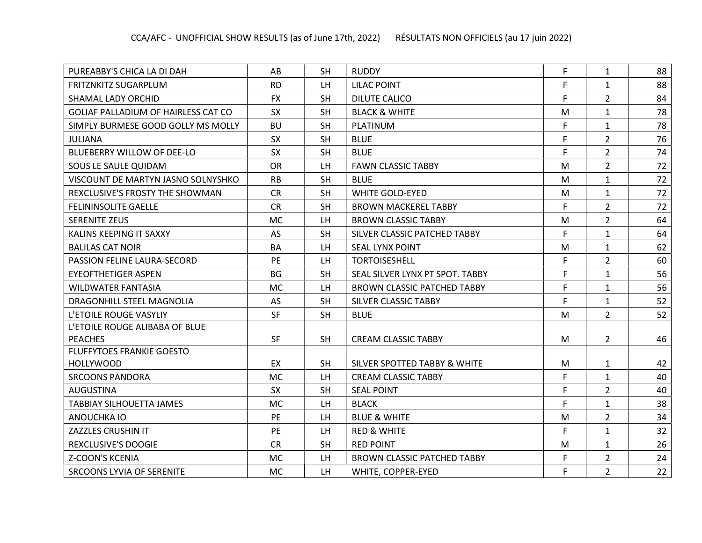| PUREABBY'S CHICA LA DI DAH                 | AB        | <b>SH</b> | <b>RUDDY</b>                            | F | $\mathbf{1}$   | 88 |
|--------------------------------------------|-----------|-----------|-----------------------------------------|---|----------------|----|
| FRITZNKITZ SUGARPLUM                       | <b>RD</b> | LH.       | <b>LILAC POINT</b>                      | F | $\mathbf{1}$   | 88 |
| SHAMAL LADY ORCHID                         | <b>FX</b> | <b>SH</b> | DILUTE CALICO                           | F | $\overline{2}$ | 84 |
| <b>GOLIAF PALLADIUM OF HAIRLESS CAT CO</b> | <b>SX</b> | <b>SH</b> | <b>BLACK &amp; WHITE</b>                | M | $\mathbf{1}$   | 78 |
| SIMPLY BURMESE GOOD GOLLY MS MOLLY         | <b>BU</b> | <b>SH</b> | PLATINUM                                | F | $\mathbf{1}$   | 78 |
| <b>JULIANA</b>                             | <b>SX</b> | <b>SH</b> | <b>BLUE</b>                             | F | $\overline{2}$ | 76 |
| <b>BLUEBERRY WILLOW OF DEE-LO</b>          | <b>SX</b> | <b>SH</b> | <b>BLUE</b>                             | F | $\overline{2}$ | 74 |
| SOUS LE SAULE QUIDAM                       | <b>OR</b> | <b>LH</b> | <b>FAWN CLASSIC TABBY</b>               | M | $\overline{2}$ | 72 |
| VISCOUNT DE MARTYN JASNO SOLNYSHKO         | <b>RB</b> | <b>SH</b> | <b>BLUE</b>                             | M | $\mathbf{1}$   | 72 |
| REXCLUSIVE'S FROSTY THE SHOWMAN            | <b>CR</b> | <b>SH</b> | <b>WHITE GOLD-EYED</b>                  | M | $\mathbf{1}$   | 72 |
| <b>FELININSOLITE GAELLE</b>                | <b>CR</b> | <b>SH</b> | <b>BROWN MACKEREL TABBY</b>             | F | $\overline{2}$ | 72 |
| <b>SERENITE ZEUS</b>                       | MC        | LH.       | <b>BROWN CLASSIC TABBY</b>              | M | $\overline{2}$ | 64 |
| KALINS KEEPING IT SAXXY                    | <b>AS</b> | <b>SH</b> | SILVER CLASSIC PATCHED TABBY            | F | $\mathbf{1}$   | 64 |
| <b>BALILAS CAT NOIR</b>                    | <b>BA</b> | LH        | <b>SEAL LYNX POINT</b>                  | M | $\mathbf{1}$   | 62 |
| PASSION FELINE LAURA-SECORD                | PE        | LH        | <b>TORTOISESHELL</b>                    | F | $\overline{2}$ | 60 |
| <b>EYEOFTHETIGER ASPEN</b>                 | <b>BG</b> | <b>SH</b> | SEAL SILVER LYNX PT SPOT. TABBY         | F | $\mathbf{1}$   | 56 |
| <b>WILDWATER FANTASIA</b>                  | <b>MC</b> | <b>LH</b> | <b>BROWN CLASSIC PATCHED TABBY</b>      | F | $\mathbf{1}$   | 56 |
| DRAGONHILL STEEL MAGNOLIA                  | AS        | <b>SH</b> | SILVER CLASSIC TABBY                    | F | $\mathbf{1}$   | 52 |
| L'ETOILE ROUGE VASYLIY                     | <b>SF</b> | <b>SH</b> | <b>BLUE</b>                             | M | $\overline{2}$ | 52 |
| L'ETOILE ROUGE ALIBABA OF BLUE             |           |           |                                         |   |                |    |
| <b>PEACHES</b>                             | <b>SF</b> | <b>SH</b> | <b>CREAM CLASSIC TABBY</b>              | M | $\overline{2}$ | 46 |
| <b>FLUFFYTOES FRANKIE GOESTO</b>           |           |           |                                         |   |                |    |
| <b>HOLLYWOOD</b>                           | EX        | <b>SH</b> | <b>SILVER SPOTTED TABBY &amp; WHITE</b> | M | $\mathbf{1}$   | 42 |
| <b>SRCOONS PANDORA</b>                     | <b>MC</b> | LH        | <b>CREAM CLASSIC TABBY</b>              | F | $\mathbf{1}$   | 40 |
| <b>AUGUSTINA</b>                           | <b>SX</b> | <b>SH</b> | <b>SEAL POINT</b>                       | F | $\overline{2}$ | 40 |
| TABBIAY SILHOUETTA JAMES                   | MC        | LH        | <b>BLACK</b>                            | F | $\mathbf{1}$   | 38 |
| ANOUCHKA IO                                | <b>PE</b> | LH.       | <b>BLUE &amp; WHITE</b>                 | M | $\overline{2}$ | 34 |
| <b>ZAZZLES CRUSHIN IT</b>                  | <b>PE</b> | LH        | <b>RED &amp; WHITE</b>                  | F | $\mathbf{1}$   | 32 |
| <b>REXCLUSIVE'S DOOGIE</b>                 | <b>CR</b> | <b>SH</b> | <b>RED POINT</b>                        | M | $\mathbf{1}$   | 26 |
| <b>Z-COON'S KCENIA</b>                     | <b>MC</b> | LH        | <b>BROWN CLASSIC PATCHED TABBY</b>      | F | $\overline{2}$ | 24 |
| SRCOONS LYVIA OF SERENITE                  | <b>MC</b> | LH        | WHITE, COPPER-EYED                      | F | $\overline{2}$ | 22 |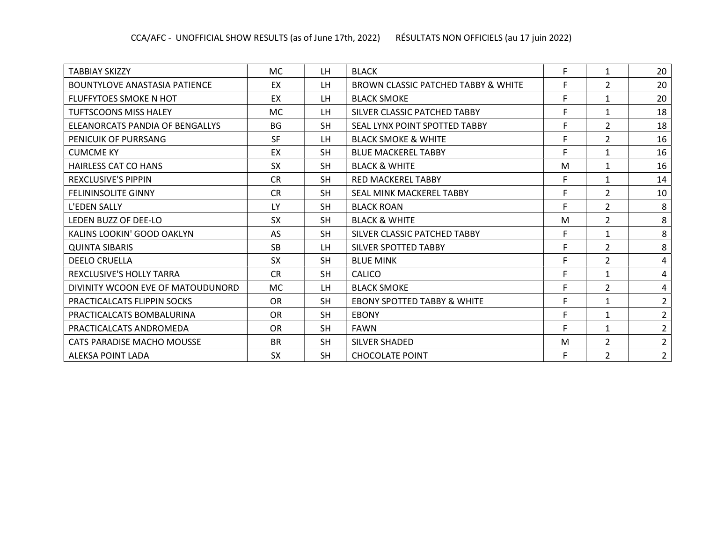| TABBIAY SKIZZY                       | <b>MC</b> | LH        | <b>BLACK</b>                           | F | $\mathbf{1}$   | 20             |
|--------------------------------------|-----------|-----------|----------------------------------------|---|----------------|----------------|
| <b>BOUNTYLOVE ANASTASIA PATIENCE</b> | EX        | LH.       | BROWN CLASSIC PATCHED TABBY & WHITE    | F | $\overline{2}$ | 20             |
| <b>FLUFFYTOES SMOKE N HOT</b>        | EX        | LH.       | <b>BLACK SMOKE</b>                     | F | 1              | 20             |
| TUFTSCOONS MISS HALEY                | <b>MC</b> | LH        | SILVER CLASSIC PATCHED TABBY           | F | 1              | 18             |
| ELEANORCATS PANDIA OF BENGALLYS      | <b>BG</b> | <b>SH</b> | SEAL LYNX POINT SPOTTED TABBY          | F | $\overline{2}$ | 18             |
| PENICUIK OF PURRSANG                 | <b>SF</b> | LH.       | <b>BLACK SMOKE &amp; WHITE</b>         | F | $\overline{2}$ | 16             |
| <b>CUMCME KY</b>                     | EX        | <b>SH</b> | <b>BLUE MACKEREL TABBY</b>             | F | $\mathbf{1}$   | 16             |
| HAIRLESS CAT CO HANS                 | <b>SX</b> | <b>SH</b> | <b>BLACK &amp; WHITE</b>               | M | $\mathbf{1}$   | 16             |
| <b>REXCLUSIVE'S PIPPIN</b>           | <b>CR</b> | <b>SH</b> | <b>RED MACKEREL TABBY</b>              | F | $\mathbf{1}$   | 14             |
| <b>FELININSOLITE GINNY</b>           | <b>CR</b> | <b>SH</b> | SEAL MINK MACKEREL TABBY               | F | $\overline{2}$ | 10             |
| L'EDEN SALLY                         | LY        | <b>SH</b> | <b>BLACK ROAN</b>                      | F | $\overline{2}$ | 8              |
| LEDEN BUZZ OF DEE-LO                 | <b>SX</b> | <b>SH</b> | <b>BLACK &amp; WHITE</b>               | M | $\overline{2}$ | 8              |
| KALINS LOOKIN' GOOD OAKLYN           | AS        | <b>SH</b> | SILVER CLASSIC PATCHED TABBY           | F | $\mathbf{1}$   | 8              |
| <b>QUINTA SIBARIS</b>                | <b>SB</b> | <b>LH</b> | <b>SILVER SPOTTED TABBY</b>            | F | $\overline{2}$ | 8              |
| <b>DEELO CRUELLA</b>                 | <b>SX</b> | <b>SH</b> | <b>BLUE MINK</b>                       | F | $\overline{2}$ | 4              |
| REXCLUSIVE'S HOLLY TARRA             | <b>CR</b> | <b>SH</b> | <b>CALICO</b>                          | F | $\mathbf{1}$   | 4              |
| DIVINITY WCOON EVE OF MATOUDUNORD    | <b>MC</b> | LH.       | <b>BLACK SMOKE</b>                     | F | $\overline{2}$ | 4              |
| PRACTICALCATS FLIPPIN SOCKS          | <b>OR</b> | <b>SH</b> | <b>EBONY SPOTTED TABBY &amp; WHITE</b> | F | 1              | $\overline{2}$ |
| PRACTICALCATS BOMBALURINA            | <b>OR</b> | <b>SH</b> | <b>EBONY</b>                           | F | $\mathbf{1}$   | $\overline{2}$ |
| PRACTICALCATS ANDROMEDA              | OR        | <b>SH</b> | <b>FAWN</b>                            | F | $\mathbf{1}$   | $\overline{2}$ |
| <b>CATS PARADISE MACHO MOUSSE</b>    | <b>BR</b> | <b>SH</b> | <b>SILVER SHADED</b>                   | M | $\overline{2}$ | $\overline{2}$ |
| <b>ALEKSA POINT LADA</b>             | <b>SX</b> | <b>SH</b> | <b>CHOCOLATE POINT</b>                 | F | $\overline{2}$ | $\overline{2}$ |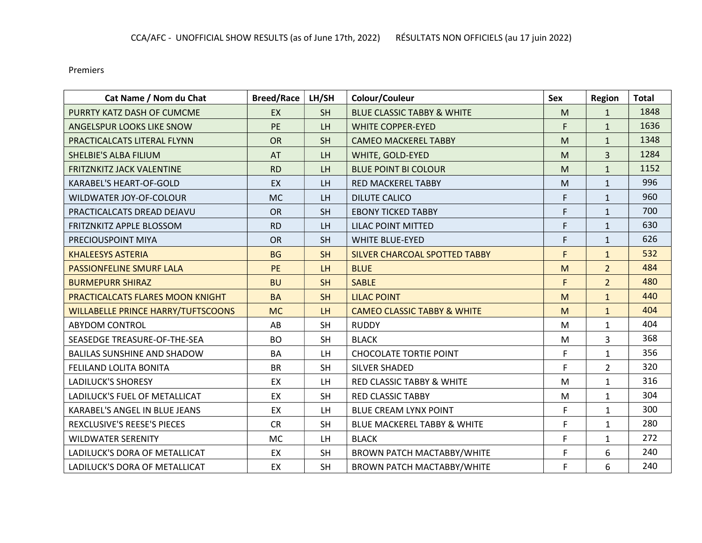Premiers

| Cat Name / Nom du Chat                    | <b>Breed/Race</b> | LH/SH          | Colour/Couleur                         | Sex | <b>Region</b>  | <b>Total</b> |
|-------------------------------------------|-------------------|----------------|----------------------------------------|-----|----------------|--------------|
| PURRTY KATZ DASH OF CUMCME                | <b>EX</b>         | <b>SH</b>      | <b>BLUE CLASSIC TABBY &amp; WHITE</b>  | M   | $\mathbf{1}$   | 1848         |
| ANGELSPUR LOOKS LIKE SNOW                 | PE                | LH             | <b>WHITE COPPER-EYED</b>               | F   | $\mathbf{1}$   | 1636         |
| PRACTICALCATS LITERAL FLYNN               | <b>OR</b>         | <b>SH</b>      | <b>CAMEO MACKEREL TABBY</b>            | M   | $\mathbf{1}$   | 1348         |
| <b>SHELBIE'S ALBA FILIUM</b>              | <b>AT</b>         | LH <sub></sub> | WHITE, GOLD-EYED                       | M   | $\overline{3}$ | 1284         |
| FRITZNKITZ JACK VALENTINE                 | <b>RD</b>         | <b>LH</b>      | <b>BLUE POINT BI COLOUR</b>            | M   | $\mathbf{1}$   | 1152         |
| KARABEL'S HEART-OF-GOLD                   | EX                | LH             | <b>RED MACKEREL TABBY</b>              | M   | $\mathbf{1}$   | 996          |
| WILDWATER JOY-OF-COLOUR                   | <b>MC</b>         | <b>LH</b>      | <b>DILUTE CALICO</b>                   | F   | $\mathbf{1}$   | 960          |
| PRACTICALCATS DREAD DEJAVU                | <b>OR</b>         | <b>SH</b>      | <b>EBONY TICKED TABBY</b>              | F   | $\mathbf{1}$   | 700          |
| FRITZNKITZ APPLE BLOSSOM                  | <b>RD</b>         | <b>LH</b>      | <b>LILAC POINT MITTED</b>              | F   | $\mathbf{1}$   | 630          |
| PRECIOUSPOINT MIYA                        | <b>OR</b>         | <b>SH</b>      | <b>WHITE BLUE-EYED</b>                 | F   | $\mathbf{1}$   | 626          |
| <b>KHALEESYS ASTERIA</b>                  | <b>BG</b>         | <b>SH</b>      | <b>SILVER CHARCOAL SPOTTED TABBY</b>   | F   | $\mathbf{1}$   | 532          |
| <b>PASSIONFELINE SMURF LALA</b>           | <b>PE</b>         | LH             | <b>BLUE</b>                            | M   | $\overline{2}$ | 484          |
| <b>BURMEPURR SHIRAZ</b>                   | <b>BU</b>         | <b>SH</b>      | <b>SABLE</b>                           | F   | $\overline{2}$ | 480          |
| PRACTICALCATS FLARES MOON KNIGHT          | <b>BA</b>         | <b>SH</b>      | <b>LILAC POINT</b>                     | M   | $\mathbf{1}$   | 440          |
| <b>WILLABELLE PRINCE HARRY/TUFTSCOONS</b> | <b>MC</b>         | <b>LH</b>      | <b>CAMEO CLASSIC TABBY &amp; WHITE</b> | M   | $\mathbf{1}$   | 404          |
| <b>ABYDOM CONTROL</b>                     | AB                | <b>SH</b>      | <b>RUDDY</b>                           | M   | $\mathbf{1}$   | 404          |
| SEASEDGE TREASURE-OF-THE-SEA              | <b>BO</b>         | <b>SH</b>      | <b>BLACK</b>                           | M   | 3              | 368          |
| <b>BALILAS SUNSHINE AND SHADOW</b>        | <b>BA</b>         | LH             | <b>CHOCOLATE TORTIE POINT</b>          | F   | $\mathbf{1}$   | 356          |
| FELILAND LOLITA BONITA                    | <b>BR</b>         | <b>SH</b>      | <b>SILVER SHADED</b>                   | F   | $\overline{2}$ | 320          |
| <b>LADILUCK'S SHORESY</b>                 | EX                | LH             | <b>RED CLASSIC TABBY &amp; WHITE</b>   | M   | $\mathbf{1}$   | 316          |
| LADILUCK'S FUEL OF METALLICAT             | EX                | <b>SH</b>      | <b>RED CLASSIC TABBY</b>               | M   | $\mathbf{1}$   | 304          |
| KARABEL'S ANGEL IN BLUE JEANS             | EX                | LH             | <b>BLUE CREAM LYNX POINT</b>           | F   | $\mathbf{1}$   | 300          |
| REXCLUSIVE'S REESE'S PIECES               | <b>CR</b>         | <b>SH</b>      | <b>BLUE MACKEREL TABBY &amp; WHITE</b> | F   | $\mathbf{1}$   | 280          |
| <b>WILDWATER SERENITY</b>                 | <b>MC</b>         | LH             | <b>BLACK</b>                           | F   | $\mathbf{1}$   | 272          |
| LADILUCK'S DORA OF METALLICAT             | EX                | <b>SH</b>      | <b>BROWN PATCH MACTABBY/WHITE</b>      | F   | 6              | 240          |
| LADILUCK'S DORA OF METALLICAT             | EX                | <b>SH</b>      | <b>BROWN PATCH MACTABBY/WHITE</b>      | F   | 6              | 240          |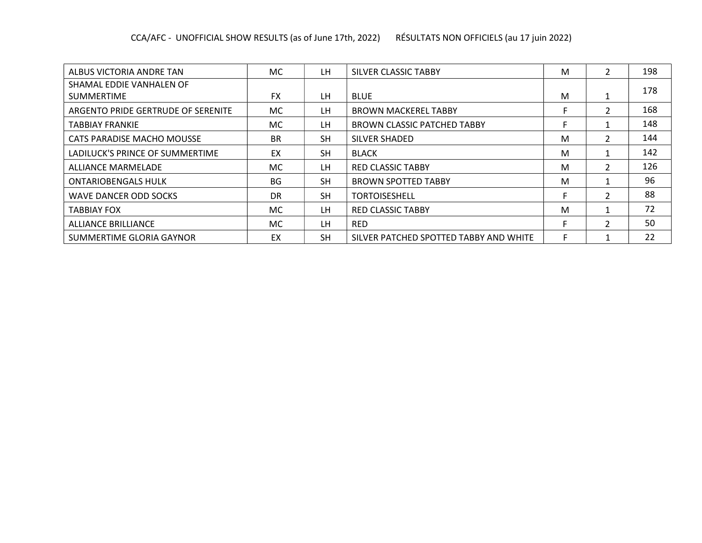| ALBUS VICTORIA ANDRE TAN           | MC.       | LH.       | SILVER CLASSIC TABBY                   | M | $\overline{\mathcal{L}}$ | 198 |
|------------------------------------|-----------|-----------|----------------------------------------|---|--------------------------|-----|
| SHAMAL EDDIE VANHALEN OF           |           |           |                                        |   |                          | 178 |
| <b>SUMMERTIME</b>                  | <b>FX</b> | LH.       | <b>BLUE</b>                            | M |                          |     |
| ARGENTO PRIDE GERTRUDE OF SERENITE | <b>MC</b> | LH        | <b>BROWN MACKEREL TABBY</b>            |   | $\mathfrak{p}$           | 168 |
| <b>TABBIAY FRANKIE</b>             | <b>MC</b> | LH.       | <b>BROWN CLASSIC PATCHED TABBY</b>     |   |                          | 148 |
| CATS PARADISE MACHO MOUSSE         | <b>BR</b> | <b>SH</b> | SILVER SHADED                          | M | $\mathcal{P}$            | 144 |
| LADILUCK'S PRINCE OF SUMMERTIME    | EX        | <b>SH</b> | <b>BLACK</b>                           | M |                          | 142 |
| ALLIANCE MARMELADE                 | MC.       | LH.       | <b>RED CLASSIC TABBY</b>               | M | $\overline{\mathcal{L}}$ | 126 |
| <b>ONTARIOBENGALS HULK</b>         | <b>BG</b> | <b>SH</b> | <b>BROWN SPOTTED TABBY</b>             | M |                          | 96  |
| <b>WAVE DANCER ODD SOCKS</b>       | DR        | <b>SH</b> | TORTOISESHELL                          |   | $\mathcal{P}$            | 88  |
| <b>TABBIAY FOX</b>                 | MC.       | LH.       | <b>RED CLASSIC TABBY</b>               | M |                          | 72  |
| <b>ALLIANCE BRILLIANCE</b>         | MC.       | LH        | <b>RED</b>                             | Е | $\mathcal{P}$            | 50  |
| SUMMERTIME GLORIA GAYNOR           | EX        | <b>SH</b> | SILVER PATCHED SPOTTED TABBY AND WHITE | F |                          | 22  |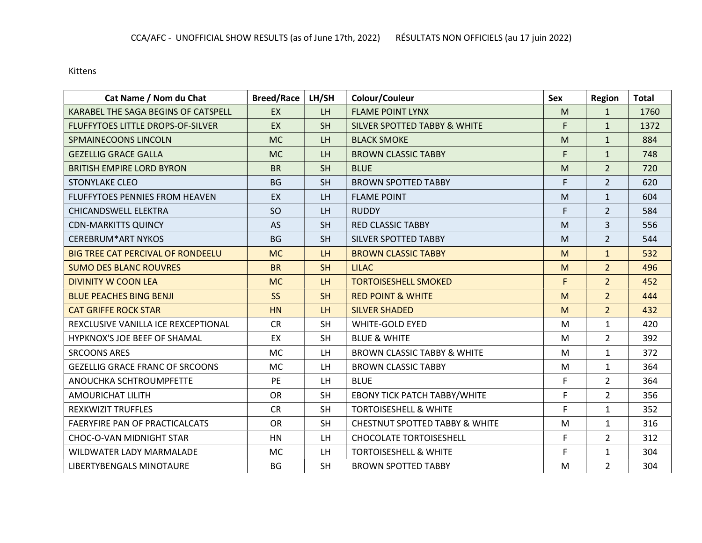Kittens

| Cat Name / Nom du Chat                   | <b>Breed/Race</b> | LH/SH          | Colour/Couleur                            | <b>Sex</b> | <b>Region</b>  | <b>Total</b> |
|------------------------------------------|-------------------|----------------|-------------------------------------------|------------|----------------|--------------|
| KARABEL THE SAGA BEGINS OF CATSPELL      | <b>EX</b>         | <b>LH</b>      | <b>FLAME POINT LYNX</b>                   | M          | $\mathbf{1}$   | 1760         |
| <b>FLUFFYTOES LITTLE DROPS-OF-SILVER</b> | EX                | <b>SH</b>      | <b>SILVER SPOTTED TABBY &amp; WHITE</b>   | F.         | $\mathbf{1}$   | 1372         |
| <b>SPMAINECOONS LINCOLN</b>              | <b>MC</b>         | <b>LH</b>      | <b>BLACK SMOKE</b>                        | M          | $\mathbf{1}$   | 884          |
| <b>GEZELLIG GRACE GALLA</b>              | <b>MC</b>         | <b>LH</b>      | <b>BROWN CLASSIC TABBY</b>                | F.         | $\mathbf{1}$   | 748          |
| <b>BRITISH EMPIRE LORD BYRON</b>         | <b>BR</b>         | <b>SH</b>      | <b>BLUE</b>                               | M          | $\overline{2}$ | 720          |
| <b>STONYLAKE CLEO</b>                    | <b>BG</b>         | <b>SH</b>      | <b>BROWN SPOTTED TABBY</b>                | F.         | $\overline{2}$ | 620          |
| <b>FLUFFYTOES PENNIES FROM HEAVEN</b>    | <b>EX</b>         | <b>LH</b>      | <b>FLAME POINT</b>                        | M          | $\mathbf{1}$   | 604          |
| <b>CHICANDSWELL ELEKTRA</b>              | SO                | LH             | <b>RUDDY</b>                              | F.         | $\overline{2}$ | 584          |
| <b>CDN-MARKITTS QUINCY</b>               | <b>AS</b>         | <b>SH</b>      | <b>RED CLASSIC TABBY</b>                  | M          | 3              | 556          |
| <b>CEREBRUM*ART NYKOS</b>                | <b>BG</b>         | <b>SH</b>      | <b>SILVER SPOTTED TABBY</b>               | M          | $\overline{2}$ | 544          |
| <b>BIG TREE CAT PERCIVAL OF RONDEELU</b> | <b>MC</b>         | LH             | <b>BROWN CLASSIC TABBY</b>                | M          | $\mathbf{1}$   | 532          |
| <b>SUMO DES BLANC ROUVRES</b>            | <b>BR</b>         | <b>SH</b>      | <b>LILAC</b>                              | M          | $\overline{2}$ | 496          |
| <b>DIVINITY W COON LEA</b>               | <b>MC</b>         | <b>LH</b>      | <b>TORTOISESHELL SMOKED</b>               | F          | $\overline{2}$ | 452          |
| <b>BLUE PEACHES BING BENJI</b>           | <b>SS</b>         | <b>SH</b>      | <b>RED POINT &amp; WHITE</b>              | M          | $\overline{2}$ | 444          |
| <b>CAT GRIFFE ROCK STAR</b>              | <b>HN</b>         | LH <sub></sub> | <b>SILVER SHADED</b>                      | M          | $\overline{2}$ | 432          |
| REXCLUSIVE VANILLA ICE REXCEPTIONAL      | <b>CR</b>         | <b>SH</b>      | <b>WHITE-GOLD EYED</b>                    | M          | $\mathbf{1}$   | 420          |
| HYPKNOX'S JOE BEEF OF SHAMAL             | EX                | <b>SH</b>      | <b>BLUE &amp; WHITE</b>                   | M          | $\overline{2}$ | 392          |
| <b>SRCOONS ARES</b>                      | <b>MC</b>         | <b>LH</b>      | <b>BROWN CLASSIC TABBY &amp; WHITE</b>    | M          | $\mathbf{1}$   | 372          |
| <b>GEZELLIG GRACE FRANC OF SRCOONS</b>   | <b>MC</b>         | LH.            | <b>BROWN CLASSIC TABBY</b>                | M          | $\mathbf{1}$   | 364          |
| ANOUCHKA SCHTROUMPFETTE                  | <b>PE</b>         | LH             | <b>BLUE</b>                               | F          | $\overline{2}$ | 364          |
| <b>AMOURICHAT LILITH</b>                 | <b>OR</b>         | <b>SH</b>      | <b>EBONY TICK PATCH TABBY/WHITE</b>       | F          | $\overline{2}$ | 356          |
| <b>REXKWIZIT TRUFFLES</b>                | <b>CR</b>         | <b>SH</b>      | <b>TORTOISESHELL &amp; WHITE</b>          | F          | $\mathbf{1}$   | 352          |
| FAERYFIRE PAN OF PRACTICALCATS           | <b>OR</b>         | <b>SH</b>      | <b>CHESTNUT SPOTTED TABBY &amp; WHITE</b> | M          | $\mathbf{1}$   | 316          |
| CHOC-O-VAN MIDNIGHT STAR                 | HN                | LH             | <b>CHOCOLATE TORTOISESHELL</b>            | F          | $\overline{2}$ | 312          |
| WILDWATER LADY MARMALADE                 | <b>MC</b>         | LH.            | <b>TORTOISESHELL &amp; WHITE</b>          | F          | $\mathbf{1}$   | 304          |
| LIBERTYBENGALS MINOTAURE                 | <b>BG</b>         | <b>SH</b>      | <b>BROWN SPOTTED TABBY</b>                | M          | $\overline{2}$ | 304          |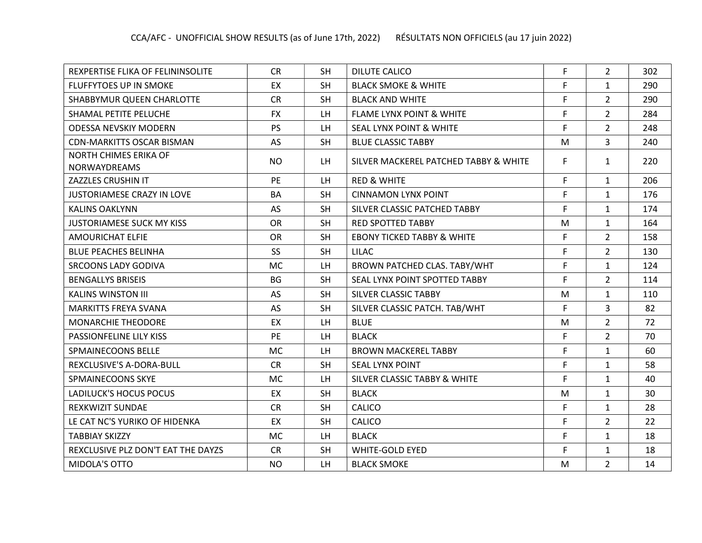| REXPERTISE FLIKA OF FELININSOLITE                   | <b>CR</b> | <b>SH</b> | <b>DILUTE CALICO</b>                  | F           | $\overline{2}$ | 302 |
|-----------------------------------------------------|-----------|-----------|---------------------------------------|-------------|----------------|-----|
| <b>FLUFFYTOES UP IN SMOKE</b>                       | EX        | <b>SH</b> | <b>BLACK SMOKE &amp; WHITE</b>        | $\mathsf F$ | $\mathbf{1}$   | 290 |
| SHABBYMUR QUEEN CHARLOTTE                           | <b>CR</b> | <b>SH</b> | <b>BLACK AND WHITE</b>                | F           | $\overline{2}$ | 290 |
| <b>SHAMAL PETITE PELUCHE</b>                        | <b>FX</b> | LH.       | <b>FLAME LYNX POINT &amp; WHITE</b>   | F           | $\overline{2}$ | 284 |
| <b>ODESSA NEVSKIY MODERN</b>                        | <b>PS</b> | LH        | <b>SEAL LYNX POINT &amp; WHITE</b>    | F           | $\overline{2}$ | 248 |
| <b>CDN-MARKITTS OSCAR BISMAN</b>                    | <b>AS</b> | <b>SH</b> | <b>BLUE CLASSIC TABBY</b>             | M           | 3              | 240 |
| <b>NORTH CHIMES ERIKA OF</b><br><b>NORWAYDREAMS</b> | <b>NO</b> | LH.       | SILVER MACKEREL PATCHED TABBY & WHITE | F           | $\mathbf{1}$   | 220 |
| ZAZZLES CRUSHIN IT                                  | <b>PE</b> | LH.       | <b>RED &amp; WHITE</b>                | F           | $\mathbf{1}$   | 206 |
| <b>JUSTORIAMESE CRAZY IN LOVE</b>                   | <b>BA</b> | <b>SH</b> | <b>CINNAMON LYNX POINT</b>            | $\mathsf F$ | $\mathbf{1}$   | 176 |
| <b>KALINS OAKLYNN</b>                               | <b>AS</b> | <b>SH</b> | SILVER CLASSIC PATCHED TABBY          | F           | $\mathbf{1}$   | 174 |
| <b>JUSTORIAMESE SUCK MY KISS</b>                    | <b>OR</b> | <b>SH</b> | <b>RED SPOTTED TABBY</b>              | M           | $\mathbf{1}$   | 164 |
| AMOURICHAT ELFIE                                    | <b>OR</b> | <b>SH</b> | <b>EBONY TICKED TABBY &amp; WHITE</b> | F           | $\overline{2}$ | 158 |
| <b>BLUE PEACHES BELINHA</b>                         | <b>SS</b> | <b>SH</b> | <b>LILAC</b>                          | F           | $\overline{2}$ | 130 |
| <b>SRCOONS LADY GODIVA</b>                          | <b>MC</b> | LH.       | BROWN PATCHED CLAS. TABY/WHT          | $\mathsf F$ | $\mathbf{1}$   | 124 |
| <b>BENGALLYS BRISEIS</b>                            | <b>BG</b> | <b>SH</b> | SEAL LYNX POINT SPOTTED TABBY         | F           | $\overline{2}$ | 114 |
| <b>KALINS WINSTON III</b>                           | AS        | <b>SH</b> | SILVER CLASSIC TABBY                  | M           | $\mathbf{1}$   | 110 |
| <b>MARKITTS FREYA SVANA</b>                         | <b>AS</b> | <b>SH</b> | SILVER CLASSIC PATCH. TAB/WHT         | F           | 3              | 82  |
| <b>MONARCHIE THEODORE</b>                           | EX        | LH.       | <b>BLUE</b>                           | M           | $\overline{2}$ | 72  |
| PASSIONFELINE LILY KISS                             | <b>PE</b> | LH.       | <b>BLACK</b>                          | F           | $\overline{2}$ | 70  |
| <b>SPMAINECOONS BELLE</b>                           | <b>MC</b> | LH.       | <b>BROWN MACKEREL TABBY</b>           | F           | $\mathbf{1}$   | 60  |
| <b>REXCLUSIVE'S A-DORA-BULL</b>                     | <b>CR</b> | <b>SH</b> | SEAL LYNX POINT                       | F           | $\mathbf{1}$   | 58  |
| SPMAINECOONS SKYE                                   | <b>MC</b> | LH.       | SILVER CLASSIC TABBY & WHITE          | F           | $\mathbf{1}$   | 40  |
| LADILUCK'S HOCUS POCUS                              | EX        | <b>SH</b> | <b>BLACK</b>                          | M           | $\mathbf{1}$   | 30  |
| <b>REXKWIZIT SUNDAE</b>                             | <b>CR</b> | <b>SH</b> | <b>CALICO</b>                         | F           | $\mathbf{1}$   | 28  |
| LE CAT NC'S YURIKO OF HIDENKA                       | EX        | <b>SH</b> | CALICO                                | F           | $\overline{2}$ | 22  |
| <b>TABBIAY SKIZZY</b>                               | <b>MC</b> | LH.       | <b>BLACK</b>                          | F           | $\mathbf{1}$   | 18  |
| REXCLUSIVE PLZ DON'T EAT THE DAYZS                  | <b>CR</b> | <b>SH</b> | <b>WHITE-GOLD EYED</b>                | F           | $\mathbf{1}$   | 18  |
| MIDOLA'S OTTO                                       | <b>NO</b> | LH.       | <b>BLACK SMOKE</b>                    | M           | $\overline{2}$ | 14  |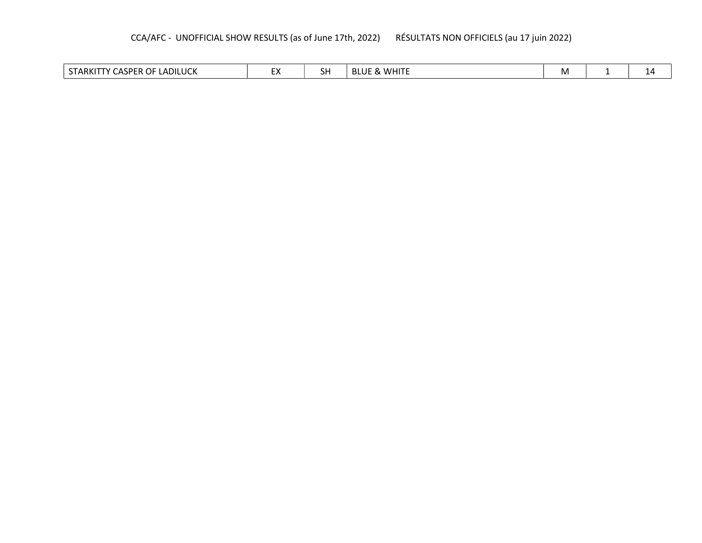## CCA/AFC - UNOFFICIAL SHOW RESULTS (as of June 17th, 2022) RÉSULTATS NON OFFICIELS (au 17 juin 2022)

| LADILUCK<br>$- - -$<br>OF.<br>CD.<br>гv<br>. A D IZ F<br>. .<br>יי<br>ANNI<br>D<br>ັບເ<br>. . | $\blacksquare$<br>" | חכ | $\sim$ MH $^{-}$<br>HF<br>BI<br>$\sim$<br><b>nu</b> | <b>IVI</b> |  | LД |
|-----------------------------------------------------------------------------------------------|---------------------|----|-----------------------------------------------------|------------|--|----|
|-----------------------------------------------------------------------------------------------|---------------------|----|-----------------------------------------------------|------------|--|----|